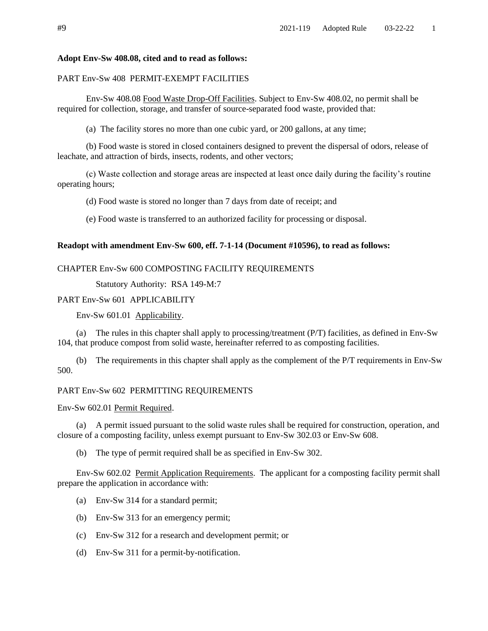### **Adopt Env-Sw 408.08, cited and to read as follows:**

# PART Env-Sw 408 PERMIT-EXEMPT FACILITIES

Env-Sw 408.08 Food Waste Drop-Off Facilities. Subject to Env-Sw 408.02, no permit shall be required for collection, storage, and transfer of source-separated food waste, provided that:

(a) The facility stores no more than one cubic yard, or 200 gallons, at any time;

(b) Food waste is stored in closed containers designed to prevent the dispersal of odors, release of leachate, and attraction of birds, insects, rodents, and other vectors;

(c) Waste collection and storage areas are inspected at least once daily during the facility's routine operating hours;

(d) Food waste is stored no longer than 7 days from date of receipt; and

(e) Food waste is transferred to an authorized facility for processing or disposal.

# **Readopt with amendment Env-Sw 600, eff. 7-1-14 (Document #10596), to read as follows:**

# CHAPTER Env-Sw 600 COMPOSTING FACILITY REQUIREMENTS

Statutory Authority: RSA 149-M:7

# PART Env-Sw 601 APPLICABILITY

Env-Sw 601.01 Applicability.

(a) The rules in this chapter shall apply to processing/treatment (P/T) facilities, as defined in Env-Sw 104, that produce compost from solid waste, hereinafter referred to as composting facilities.

(b) The requirements in this chapter shall apply as the complement of the P/T requirements in Env-Sw 500.

# PART Env-Sw 602 PERMITTING REQUIREMENTS

### Env-Sw 602.01 Permit Required.

(a) A permit issued pursuant to the solid waste rules shall be required for construction, operation, and closure of a composting facility, unless exempt pursuant to Env-Sw 302.03 or Env-Sw 608.

(b) The type of permit required shall be as specified in Env-Sw 302.

Env-Sw 602.02 Permit Application Requirements. The applicant for a composting facility permit shall prepare the application in accordance with:

- (a) Env-Sw 314 for a standard permit;
- (b) Env-Sw 313 for an emergency permit;
- (c) Env-Sw 312 for a research and development permit; or
- (d) Env-Sw 311 for a permit-by-notification.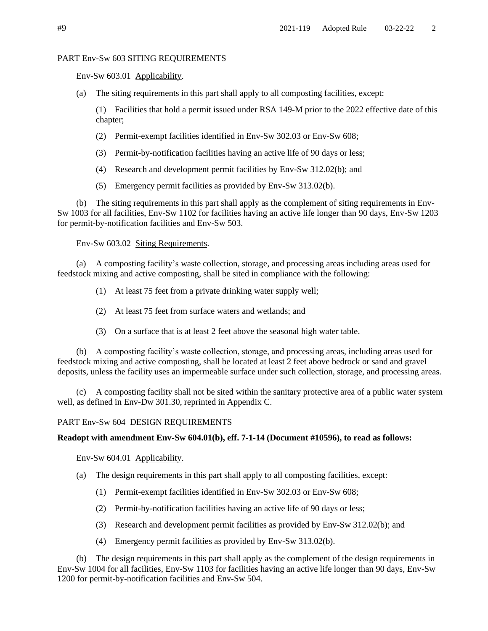### PART Env-Sw 603 SITING REQUIREMENTS

Env-Sw 603.01 Applicability.

(a) The siting requirements in this part shall apply to all composting facilities, except:

(1) Facilities that hold a permit issued under RSA 149-M prior to the 2022 effective date of this chapter;

- (2) Permit-exempt facilities identified in Env-Sw 302.03 or Env-Sw 608;
- (3) Permit-by-notification facilities having an active life of 90 days or less;
- (4) Research and development permit facilities by Env-Sw 312.02(b); and
- (5) Emergency permit facilities as provided by Env-Sw 313.02(b).

(b) The siting requirements in this part shall apply as the complement of siting requirements in Env-Sw 1003 for all facilities, Env-Sw 1102 for facilities having an active life longer than 90 days, Env-Sw 1203 for permit-by-notification facilities and Env-Sw 503.

Env-Sw 603.02 Siting Requirements.

(a) A composting facility's waste collection, storage, and processing areas including areas used for feedstock mixing and active composting, shall be sited in compliance with the following:

(1) At least 75 feet from a private drinking water supply well;

- (2) At least 75 feet from surface waters and wetlands; and
- (3) On a surface that is at least 2 feet above the seasonal high water table.

(b) A composting facility's waste collection, storage, and processing areas, including areas used for feedstock mixing and active composting, shall be located at least 2 feet above bedrock or sand and gravel deposits, unless the facility uses an impermeable surface under such collection, storage, and processing areas.

(c) A composting facility shall not be sited within the sanitary protective area of a public water system well, as defined in Env-Dw 301.30, reprinted in Appendix C.

### PART Env-Sw 604 DESIGN REQUIREMENTS

### **Readopt with amendment Env-Sw 604.01(b), eff. 7-1-14 (Document #10596), to read as follows:**

Env-Sw 604.01 Applicability.

- (a) The design requirements in this part shall apply to all composting facilities, except:
	- (1) Permit-exempt facilities identified in Env-Sw 302.03 or Env-Sw 608;
	- (2) Permit-by-notification facilities having an active life of 90 days or less;
	- (3) Research and development permit facilities as provided by Env-Sw 312.02(b); and
	- (4) Emergency permit facilities as provided by Env-Sw 313.02(b).

(b) The design requirements in this part shall apply as the complement of the design requirements in Env-Sw 1004 for all facilities, Env-Sw 1103 for facilities having an active life longer than 90 days, Env-Sw 1200 for permit-by-notification facilities and Env-Sw 504.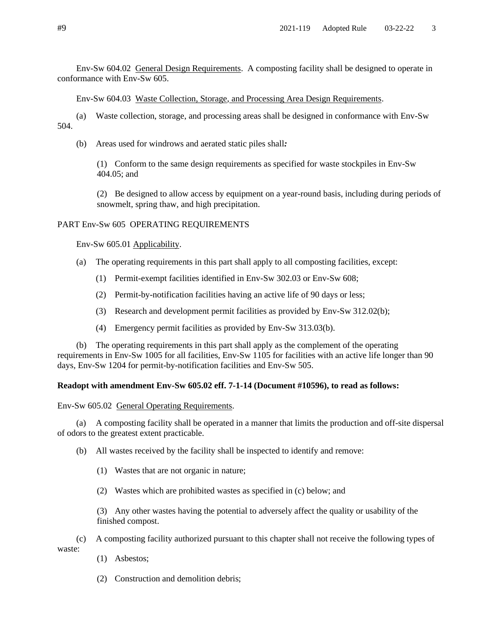Env-Sw 604.02 General Design Requirements. A composting facility shall be designed to operate in conformance with Env-Sw 605.

Env-Sw 604.03 Waste Collection, Storage, and Processing Area Design Requirements.

(a) Waste collection, storage, and processing areas shall be designed in conformance with Env-Sw 504.

(b) Areas used for windrows and aerated static piles shall*:*

(1) Conform to the same design requirements as specified for waste stockpiles in Env-Sw 404.05; and

(2) Be designed to allow access by equipment on a year-round basis, including during periods of snowmelt, spring thaw, and high precipitation.

### PART Env-Sw 605 OPERATING REQUIREMENTS

Env-Sw 605.01 Applicability.

- (a) The operating requirements in this part shall apply to all composting facilities, except:
	- (1) Permit-exempt facilities identified in Env-Sw 302.03 or Env-Sw 608;
	- (2) Permit-by-notification facilities having an active life of 90 days or less;
	- (3) Research and development permit facilities as provided by Env-Sw 312.02(b);
	- (4) Emergency permit facilities as provided by Env-Sw 313.03(b).

(b) The operating requirements in this part shall apply as the complement of the operating requirements in Env-Sw 1005 for all facilities, Env-Sw 1105 for facilities with an active life longer than 90 days, Env-Sw 1204 for permit-by-notification facilities and Env-Sw 505.

## **Readopt with amendment Env-Sw 605.02 eff. 7-1-14 (Document #10596), to read as follows:**

Env-Sw 605.02 General Operating Requirements.

(a) A composting facility shall be operated in a manner that limits the production and off-site dispersal of odors to the greatest extent practicable.

(b) All wastes received by the facility shall be inspected to identify and remove:

- (1) Wastes that are not organic in nature;
- (2) Wastes which are prohibited wastes as specified in (c) below; and

(3) Any other wastes having the potential to adversely affect the quality or usability of the finished compost.

(c) A composting facility authorized pursuant to this chapter shall not receive the following types of

waste:

- (1) Asbestos;
- (2) Construction and demolition debris;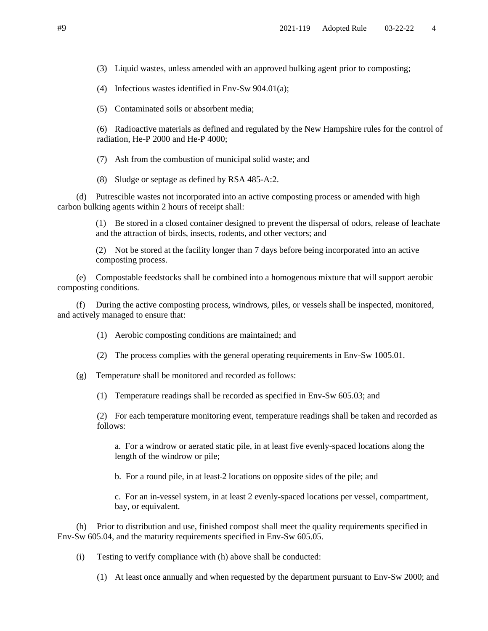(3) Liquid wastes, unless amended with an approved bulking agent prior to composting;

(4) Infectious wastes identified in Env-Sw 904.01(a);

(5) Contaminated soils or absorbent media;

(6) Radioactive materials as defined and regulated by the New Hampshire rules for the control of radiation, He-P 2000 and He-P 4000;

(7) Ash from the combustion of municipal solid waste; and

(8) Sludge or septage as defined by RSA 485-A:2.

(d) Putrescible wastes not incorporated into an active composting process or amended with high carbon bulking agents within 2 hours of receipt shall:

> (1) Be stored in a closed container designed to prevent the dispersal of odors, release of leachate and the attraction of birds, insects, rodents, and other vectors; and

(2) Not be stored at the facility longer than 7 days before being incorporated into an active composting process.

(e) Compostable feedstocks shall be combined into a homogenous mixture that will support aerobic composting conditions.

(f) During the active composting process, windrows, piles, or vessels shall be inspected, monitored, and actively managed to ensure that:

(1) Aerobic composting conditions are maintained; and

- (2) The process complies with the general operating requirements in Env-Sw 1005.01.
- (g) Temperature shall be monitored and recorded as follows:
	- (1) Temperature readings shall be recorded as specified in Env-Sw 605.03; and

(2) For each temperature monitoring event, temperature readings shall be taken and recorded as follows:

a. For a windrow or aerated static pile, in at least five evenly-spaced locations along the length of the windrow or pile;

b. For a round pile, in at least 2 locations on opposite sides of the pile; and

c. For an in-vessel system, in at least 2 evenly-spaced locations per vessel, compartment, bay, or equivalent.

(h) Prior to distribution and use, finished compost shall meet the quality requirements specified in Env-Sw 605.04, and the maturity requirements specified in Env-Sw 605.05.

(i) Testing to verify compliance with (h) above shall be conducted:

(1) At least once annually and when requested by the department pursuant to Env-Sw 2000; and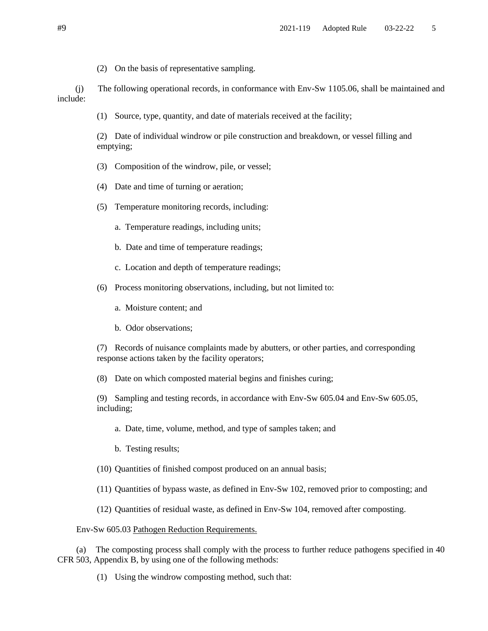(2) On the basis of representative sampling.

(j) The following operational records, in conformance with Env-Sw 1105.06, shall be maintained and include:

(1) Source, type, quantity, and date of materials received at the facility;

(2) Date of individual windrow or pile construction and breakdown, or vessel filling and emptying;

- (3) Composition of the windrow, pile, or vessel;
- (4) Date and time of turning or aeration;
- (5) Temperature monitoring records, including:
	- a. Temperature readings, including units;
	- b. Date and time of temperature readings;
	- c. Location and depth of temperature readings;
- (6) Process monitoring observations, including, but not limited to:
	- a. Moisture content; and
	- b. Odor observations;

(7) Records of nuisance complaints made by abutters, or other parties, and corresponding response actions taken by the facility operators;

(8) Date on which composted material begins and finishes curing;

(9) Sampling and testing records, in accordance with Env-Sw 605.04 and Env-Sw 605.05, including;

- a. Date, time, volume, method, and type of samples taken; and
- b. Testing results;
- (10) Quantities of finished compost produced on an annual basis;
- (11) Quantities of bypass waste, as defined in Env-Sw 102, removed prior to composting; and
- (12) Quantities of residual waste, as defined in Env-Sw 104, removed after composting.

### Env-Sw 605.03 Pathogen Reduction Requirements.

(a) The composting process shall comply with the process to further reduce pathogens specified in 40 CFR 503, Appendix B, by using one of the following methods:

(1) Using the windrow composting method, such that: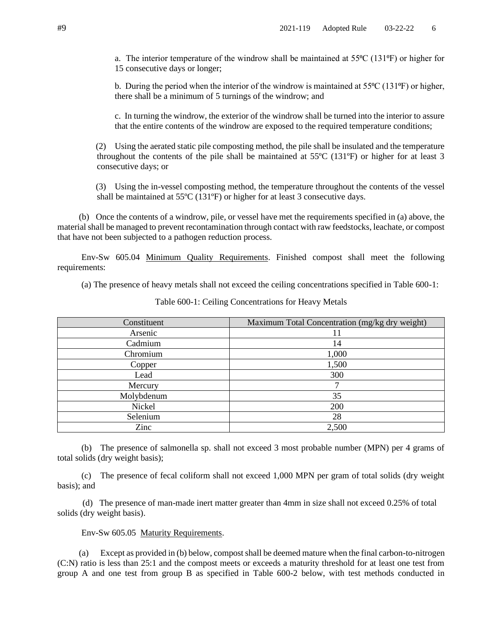a. The interior temperature of the windrow shall be maintained at  $55^{\circ}C$  (131 $^{\circ}F$ ) or higher for 15 consecutive days or longer;

b. During the period when the interior of the windrow is maintained at  $55^{\circ}C(131^{\circ}F)$  or higher, there shall be a minimum of 5 turnings of the windrow; and

c. In turning the windrow, the exterior of the windrow shall be turned into the interior to assure that the entire contents of the windrow are exposed to the required temperature conditions;

(2) Using the aerated static pile composting method, the pile shall be insulated and the temperature throughout the contents of the pile shall be maintained at 55ºC (131ºF) or higher for at least 3 consecutive days; or

(3) Using the in-vessel composting method, the temperature throughout the contents of the vessel shall be maintained at 55ºC (131ºF) or higher for at least 3 consecutive days.

(b) Once the contents of a windrow, pile, or vessel have met the requirements specified in (a) above, the material shall be managed to prevent recontamination through contact with raw feedstocks, leachate, or compost that have not been subjected to a pathogen reduction process.

Env-Sw 605.04 Minimum Quality Requirements. Finished compost shall meet the following requirements:

(a) The presence of heavy metals shall not exceed the ceiling concentrations specified in Table 600-1:

| Constituent | Maximum Total Concentration (mg/kg dry weight) |
|-------------|------------------------------------------------|
| Arsenic     |                                                |
| Cadmium     | 14                                             |
| Chromium    | 1,000                                          |
| Copper      | 1,500                                          |
| Lead        | 300                                            |
| Mercury     |                                                |
| Molybdenum  | 35                                             |
| Nickel      | 200                                            |
| Selenium    | 28                                             |
| Zinc        | 2,500                                          |

Table 600-1: Ceiling Concentrations for Heavy Metals

(b) The presence of salmonella sp. shall not exceed 3 most probable number (MPN) per 4 grams of total solids (dry weight basis);

(c) The presence of fecal coliform shall not exceed 1,000 MPN per gram of total solids (dry weight basis); and

(d) The presence of man-made inert matter greater than 4mm in size shall not exceed 0.25% of total solids (dry weight basis).

#### Env-Sw 605.05 Maturity Requirements.

(a) Except as provided in (b) below, compost shall be deemed mature when the final carbon-to-nitrogen (C:N) ratio is less than 25:1 and the compost meets or exceeds a maturity threshold for at least one test from group A and one test from group B as specified in Table 600-2 below, with test methods conducted in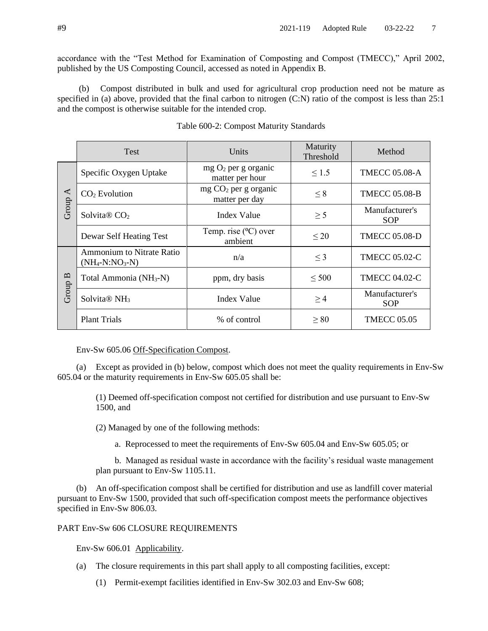accordance with the "Test Method for Examination of Composting and Compost (TMECC)," April 2002, published by the US Composting Council, accessed as noted in Appendix B.

(b) Compost distributed in bulk and used for agricultural crop production need not be mature as specified in (a) above, provided that the final carbon to nitrogen (C:N) ratio of the compost is less than 25:1 and the compost is otherwise suitable for the intended crop.

|                               | <b>Test</b>                                    | Units                                    | Maturity<br>Threshold | Method                       |
|-------------------------------|------------------------------------------------|------------------------------------------|-----------------------|------------------------------|
| $\blacktriangleleft$<br>Group | Specific Oxygen Uptake                         | $mg O2$ per g organic<br>matter per hour | $\leq 1.5$            | <b>TMECC 05.08-A</b>         |
|                               | $CO2$ Evolution                                | $mg CO2$ per g organic<br>matter per day | $\leq 8$              | <b>TMECC 05.08-B</b>         |
|                               | Solvita $\otimes$ CO <sub>2</sub>              | Index Value                              | $\geq$ 5              | Manufacturer's<br><b>SOP</b> |
|                               | Dewar Self Heating Test                        | Temp. rise $(^{0}C)$ over<br>ambient     | $\leq 20$             | <b>TMECC 05.08-D</b>         |
| Group B                       | Ammonium to Nitrate Ratio<br>$(NH_4-N:NO_3-N)$ | n/a                                      | $\leq$ 3              | <b>TMECC 05.02-C</b>         |
|                               | Total Ammonia (NH <sub>3</sub> -N)             | ppm, dry basis                           | $\leq 500$            | <b>TMECC 04.02-C</b>         |
|                               | Solvita® NH <sub>3</sub>                       | <b>Index Value</b>                       | $\geq$ 4              | Manufacturer's<br><b>SOP</b> |
|                               | <b>Plant Trials</b>                            | % of control                             | $\geq 80$             | <b>TMECC 05.05</b>           |

| Table 600-2: Compost Maturity Standards |  |  |  |
|-----------------------------------------|--|--|--|
|-----------------------------------------|--|--|--|

Env-Sw 605.06 Off-Specification Compost.

(a) Except as provided in (b) below, compost which does not meet the quality requirements in Env-Sw 605.04 or the maturity requirements in Env-Sw 605.05 shall be:

(1) Deemed off-specification compost not certified for distribution and use pursuant to Env-Sw 1500, and

(2) Managed by one of the following methods:

a. Reprocessed to meet the requirements of Env-Sw 605.04 and Env-Sw 605.05; or

b. Managed as residual waste in accordance with the facility's residual waste management plan pursuant to Env-Sw 1105.11.

(b) An off-specification compost shall be certified for distribution and use as landfill cover material pursuant to Env-Sw 1500, provided that such off-specification compost meets the performance objectives specified in Env-Sw 806.03.

### PART Env-Sw 606 CLOSURE REQUIREMENTS

Env-Sw 606.01 Applicability.

- (a) The closure requirements in this part shall apply to all composting facilities, except:
	- (1) Permit-exempt facilities identified in Env-Sw 302.03 and Env-Sw 608;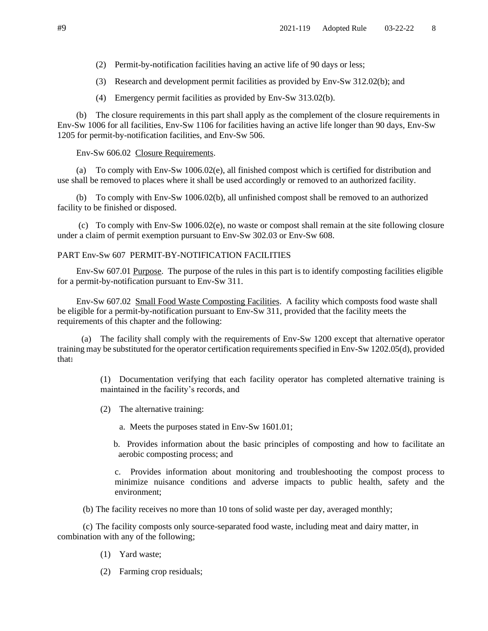- (2) Permit-by-notification facilities having an active life of 90 days or less;
- (3) Research and development permit facilities as provided by Env-Sw 312.02(b); and
- (4) Emergency permit facilities as provided by Env-Sw 313.02(b).

(b) The closure requirements in this part shall apply as the complement of the closure requirements in Env-Sw 1006 for all facilities, Env-Sw 1106 for facilities having an active life longer than 90 days, Env-Sw 1205 for permit-by-notification facilities, and Env-Sw 506.

### Env-Sw 606.02 Closure Requirements.

(a) To comply with Env-Sw 1006.02(e), all finished compost which is certified for distribution and use shall be removed to places where it shall be used accordingly or removed to an authorized facility.

(b) To comply with Env-Sw 1006.02(b), all unfinished compost shall be removed to an authorized facility to be finished or disposed.

(c) To comply with Env-Sw 1006.02(e), no waste or compost shall remain at the site following closure under a claim of permit exemption pursuant to Env-Sw 302.03 or Env-Sw 608.

# PART Env-Sw 607 PERMIT-BY-NOTIFICATION FACILITIES

Env-Sw 607.01 Purpose. The purpose of the rules in this part is to identify composting facilities eligible for a permit-by-notification pursuant to Env-Sw 311.

Env-Sw 607.02 Small Food Waste Composting Facilities. A facility which composts food waste shall be eligible for a permit-by-notification pursuant to Env-Sw 311, provided that the facility meets the requirements of this chapter and the following:

(a) The facility shall comply with the requirements of Env-Sw 1200 except that alternative operator training may be substituted for the operator certification requirements specified in Env-Sw 1202.05(d), provided that:

> (1) Documentation verifying that each facility operator has completed alternative training is maintained in the facility's records, and

(2) The alternative training:

a. Meets the purposes stated in Env-Sw 1601.01;

b. Provides information about the basic principles of composting and how to facilitate an aerobic composting process; and

c. Provides information about monitoring and troubleshooting the compost process to minimize nuisance conditions and adverse impacts to public health, safety and the environment;

(b) The facility receives no more than 10 tons of solid waste per day, averaged monthly;

 (c) The facility composts only source-separated food waste, including meat and dairy matter, in combination with any of the following;

- (1) Yard waste;
- (2) Farming crop residuals;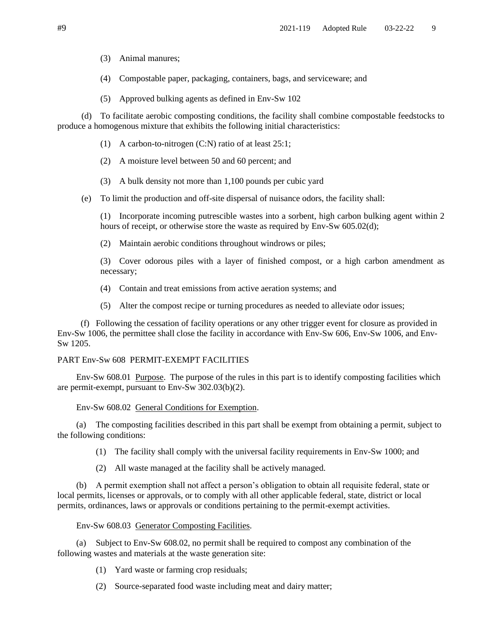(3) Animal manures;

- (4) Compostable paper, packaging, containers, bags, and serviceware; and
- (5) Approved bulking agents as defined in Env-Sw 102

(d) To facilitate aerobic composting conditions, the facility shall combine compostable feedstocks to produce a homogenous mixture that exhibits the following initial characteristics:

- (1) A carbon-to-nitrogen (C:N) ratio of at least 25:1;
- (2) A moisture level between 50 and 60 percent; and
- (3) A bulk density not more than 1,100 pounds per cubic yard
- (e) To limit the production and off-site dispersal of nuisance odors, the facility shall:

(1) Incorporate incoming putrescible wastes into a sorbent, high carbon bulking agent within 2 hours of receipt, or otherwise store the waste as required by Env-Sw 605.02(d);

(2) Maintain aerobic conditions throughout windrows or piles;

(3) Cover odorous piles with a layer of finished compost, or a high carbon amendment as necessary;

- (4) Contain and treat emissions from active aeration systems; and
- (5) Alter the compost recipe or turning procedures as needed to alleviate odor issues;

(f) Following the cessation of facility operations or any other trigger event for closure as provided in Env-Sw 1006, the permittee shall close the facility in accordance with Env-Sw 606, Env-Sw 1006, and Env-Sw 1205.

# PART Env-Sw 608 PERMIT-EXEMPT FACILITIES

Env-Sw 608.01 Purpose. The purpose of the rules in this part is to identify composting facilities which are permit-exempt, pursuant to Env-Sw 302.03(b)(2).

# Env-Sw 608.02 General Conditions for Exemption.

(a) The composting facilities described in this part shall be exempt from obtaining a permit, subject to the following conditions:

- (1) The facility shall comply with the universal facility requirements in Env-Sw 1000; and
- (2) All waste managed at the facility shall be actively managed.

(b) A permit exemption shall not affect a person's obligation to obtain all requisite federal, state or local permits, licenses or approvals, or to comply with all other applicable federal, state, district or local permits, ordinances, laws or approvals or conditions pertaining to the permit-exempt activities.

### Env-Sw 608.03 Generator Composting Facilities.

(a) Subject to Env-Sw 608.02, no permit shall be required to compost any combination of the following wastes and materials at the waste generation site:

- (1) Yard waste or farming crop residuals;
- (2) Source-separated food waste including meat and dairy matter;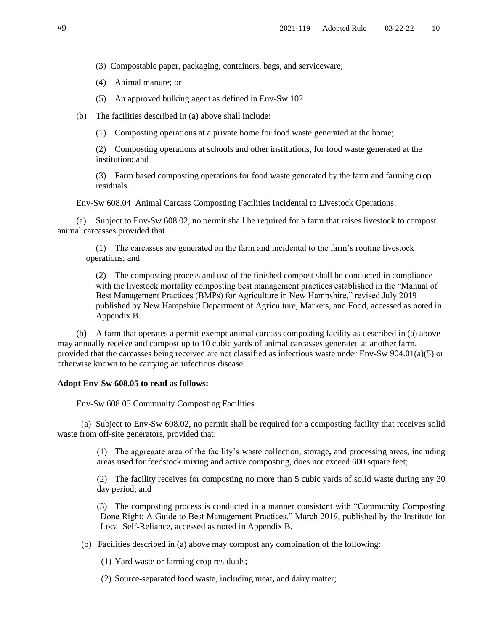- (3) Compostable paper, packaging, containers, bags, and serviceware;
- (4) Animal manure; or
- (5) An approved bulking agent as defined in Env-Sw 102
- (b) The facilities described in (a) above shall include:
	- (1) Composting operations at a private home for food waste generated at the home;

(2) Composting operations at schools and other institutions, for food waste generated at the institution; and

(3) Farm based composting operations for food waste generated by the farm and farming crop residuals.

Env-Sw 608.04 Animal Carcass Composting Facilities Incidental to Livestock Operations.

(a) Subject to Env-Sw 608.02, no permit shall be required for a farm that raises livestock to compost animal carcasses provided that.

(1) The carcasses are generated on the farm and incidental to the farm's routine livestock operations; and

(2) The composting process and use of the finished compost shall be conducted in compliance with the livestock mortality composting best management practices established in the "Manual of Best Management Practices (BMPs) for Agriculture in New Hampshire," revised July 2019 published by New Hampshire Department of Agriculture, Markets, and Food, accessed as noted in Appendix B.

(b) A farm that operates a permit-exempt animal carcass composting facility as described in (a) above may annually receive and compost up to 10 cubic yards of animal carcasses generated at another farm, provided that the carcasses being received are not classified as infectious waste under Env-Sw 904.01(a)(5) or otherwise known to be carrying an infectious disease.

### **Adopt Env-Sw 608.05 to read as follows:**

Env-Sw 608.05 Community Composting Facilities

(a) Subject to Env-Sw 608.02, no permit shall be required for a composting facility that receives solid waste from off-site generators, provided that:

> (1) The aggregate area of the facility's waste collection, storage*,* and processing areas, including areas used for feedstock mixing and active composting, does not exceed 600 square feet;

> (2) The facility receives for composting no more than 5 cubic yards of solid waste during any 30 day period; and

> (3) The composting process is conducted in a manner consistent with "Community Composting Done Right: A Guide to Best Management Practices," March 2019, published by the Institute for Local Self-Reliance, accessed as noted in Appendix B.

(b) Facilities described in (a) above may compost any combination of the following:

(1) Yard waste or farming crop residuals;

(2) Source-separated food waste, including meat**,** and dairy matter;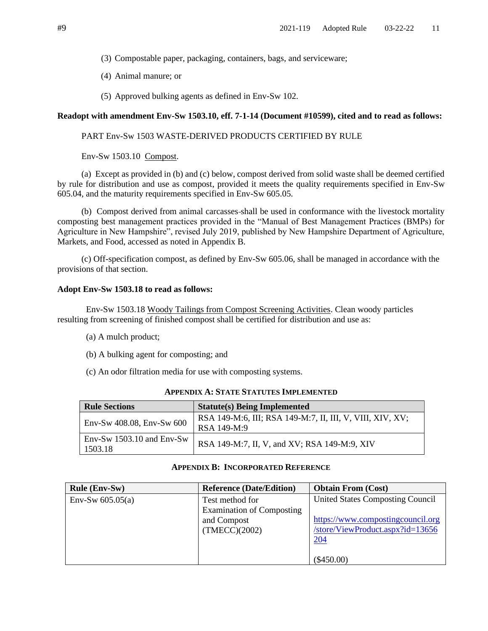- (3) Compostable paper, packaging, containers, bags, and serviceware;
- (4) Animal manure; or
- (5) Approved bulking agents as defined in Env-Sw 102.

### **Readopt with amendment Env-Sw 1503.10, eff. 7-1-14 (Document #10599), cited and to read as follows:**

# PART Env-Sw 1503 WASTE-DERIVED PRODUCTS CERTIFIED BY RULE

Env-Sw 1503.10 Compost.

(a) Except as provided in (b) and (c) below, compost derived from solid waste shall be deemed certified by rule for distribution and use as compost, provided it meets the quality requirements specified in Env-Sw 605.04, and the maturity requirements specified in Env-Sw 605.05.

(b) Compost derived from animal carcasses shall be used in conformance with the livestock mortality composting best management practices provided in the "Manual of Best Management Practices (BMPs) for Agriculture in New Hampshire", revised July 2019, published by New Hampshire Department of Agriculture, Markets, and Food, accessed as noted in Appendix B.

(c) Off-specification compost, as defined by Env-Sw 605.06, shall be managed in accordance with the provisions of that section.

### **Adopt Env-Sw 1503.18 to read as follows:**

Env-Sw 1503.18 Woody Tailings from Compost Screening Activities. Clean woody particles resulting from screening of finished compost shall be certified for distribution and use as:

- (a) A mulch product;
- (b) A bulking agent for composting; and
- (c) An odor filtration media for use with composting systems.

| <b>Rule Sections</b>                   | <b>Statute(s) Being Implemented</b>                                        |  |
|----------------------------------------|----------------------------------------------------------------------------|--|
| $Env-Sw 408.08, Env-Sw 600$            | RSA 149-M:6, III; RSA 149-M:7, II, III, V, VIII, XIV, XV;<br>$RSA$ 149-M:9 |  |
| Env-Sw $1503.10$ and Env-Sw<br>1503.18 | RSA 149-M:7, II, V, and XV; RSA 149-M:9, XIV                               |  |

### **APPENDIX A: STATE STATUTES IMPLEMENTED**

### **APPENDIX B: INCORPORATED REFERENCE**

| <b>Rule (Env-Sw)</b> | <b>Reference (Date/Edition)</b>  | <b>Obtain From (Cost)</b>         |
|----------------------|----------------------------------|-----------------------------------|
| Env-Sw $605.05(a)$   | Test method for                  | United States Composting Council  |
|                      | <b>Examination of Composting</b> |                                   |
|                      | and Compost                      | https://www.compostingcouncil.org |
|                      | (TMECC)(2002)                    | /store/ViewProduct.aspx?id=13656  |
|                      |                                  | <u>204</u>                        |
|                      |                                  |                                   |
|                      |                                  | $(\$450.00)$                      |